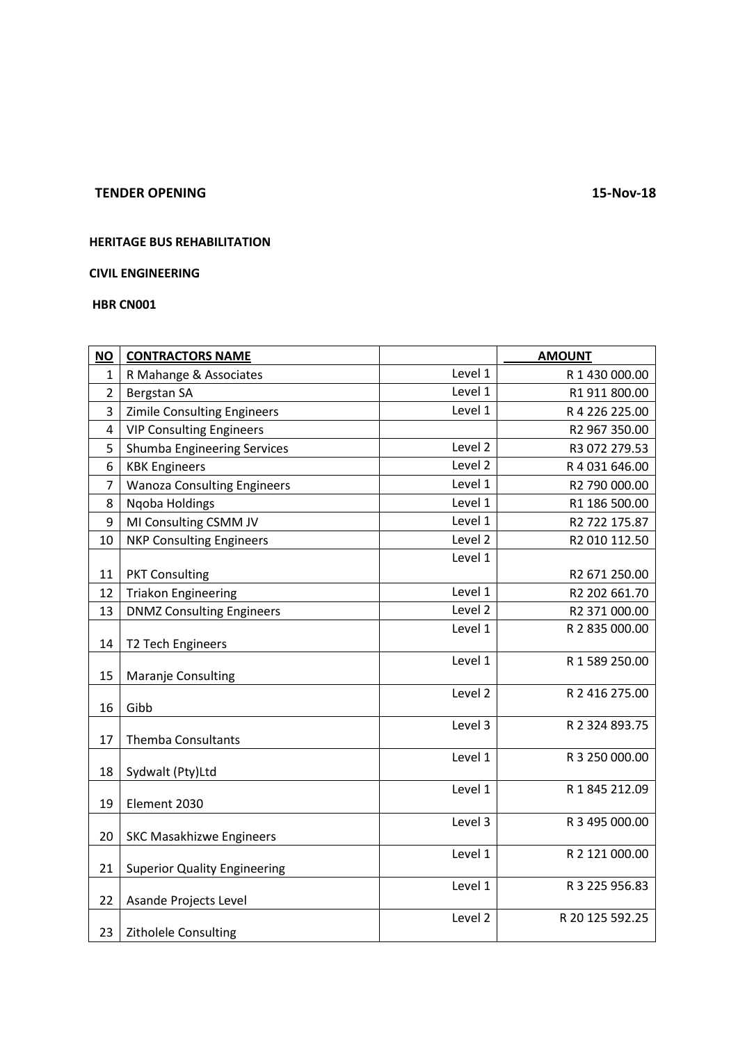### **TENDER OPENING 15-Nov-18**

# **HERITAGE BUS REHABILITATION**

### **CIVIL ENGINEERING**

**HBR CN001**

| <b>NO</b>      | <b>CONTRACTORS NAME</b>             |         | <b>AMOUNT</b>   |
|----------------|-------------------------------------|---------|-----------------|
| 1              | R Mahange & Associates              | Level 1 | R 1 430 000.00  |
| $\overline{2}$ | Bergstan SA                         | Level 1 | R1 911 800.00   |
| 3              | <b>Zimile Consulting Engineers</b>  | Level 1 | R 4 226 225.00  |
| 4              | <b>VIP Consulting Engineers</b>     |         | R2 967 350.00   |
| 5              | <b>Shumba Engineering Services</b>  | Level 2 | R3 072 279.53   |
| 6              | <b>KBK Engineers</b>                | Level 2 | R 4 031 646.00  |
| $\overline{7}$ | <b>Wanoza Consulting Engineers</b>  | Level 1 | R2 790 000.00   |
| 8              | Ngoba Holdings                      | Level 1 | R1 186 500.00   |
| 9              | MI Consulting CSMM JV               | Level 1 | R2 722 175.87   |
| 10             | <b>NKP Consulting Engineers</b>     | Level 2 | R2 010 112.50   |
|                |                                     | Level 1 |                 |
| 11             | <b>PKT Consulting</b>               |         | R2 671 250.00   |
| 12             | <b>Triakon Engineering</b>          | Level 1 | R2 202 661.70   |
| 13             | <b>DNMZ Consulting Engineers</b>    | Level 2 | R2 371 000.00   |
| 14             | T2 Tech Engineers                   | Level 1 | R 2 835 000.00  |
| 15             | Maranje Consulting                  | Level 1 | R 1 589 250.00  |
| 16             | Gibb                                | Level 2 | R 2 416 275.00  |
| 17             | <b>Themba Consultants</b>           | Level 3 | R 2 324 893.75  |
| 18             | Sydwalt (Pty)Ltd                    | Level 1 | R 3 250 000.00  |
| 19             | Element 2030                        | Level 1 | R 1 845 212.09  |
| 20             | <b>SKC Masakhizwe Engineers</b>     | Level 3 | R 3 495 000.00  |
| 21             | <b>Superior Quality Engineering</b> | Level 1 | R 2 121 000.00  |
| 22             | Asande Projects Level               | Level 1 | R 3 225 956.83  |
| 23             | <b>Zitholele Consulting</b>         | Level 2 | R 20 125 592.25 |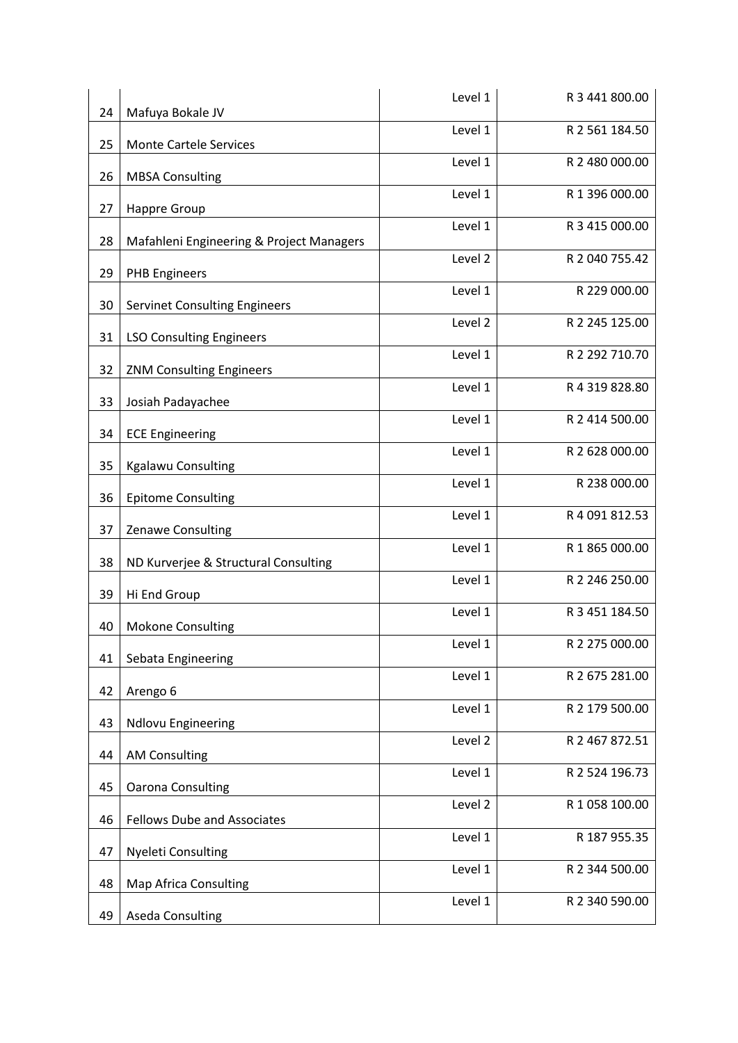| 24 | Mafuya Bokale JV                         | Level 1 | R 3 441 800.00 |
|----|------------------------------------------|---------|----------------|
| 25 | <b>Monte Cartele Services</b>            | Level 1 | R 2 561 184.50 |
| 26 | <b>MBSA Consulting</b>                   | Level 1 | R 2 480 000.00 |
| 27 | <b>Happre Group</b>                      | Level 1 | R 1 396 000.00 |
| 28 | Mafahleni Engineering & Project Managers | Level 1 | R 3 415 000.00 |
| 29 | <b>PHB Engineers</b>                     | Level 2 | R 2 040 755.42 |
| 30 | <b>Servinet Consulting Engineers</b>     | Level 1 | R 229 000.00   |
| 31 | <b>LSO Consulting Engineers</b>          | Level 2 | R 2 245 125.00 |
| 32 | <b>ZNM Consulting Engineers</b>          | Level 1 | R 2 292 710.70 |
| 33 | Josiah Padayachee                        | Level 1 | R 4 319 828.80 |
| 34 |                                          | Level 1 | R 2 414 500.00 |
|    | <b>ECE Engineering</b>                   | Level 1 | R 2 628 000.00 |
| 35 | <b>Kgalawu Consulting</b>                | Level 1 | R 238 000.00   |
| 36 | <b>Epitome Consulting</b>                | Level 1 | R 4 091 812.53 |
| 37 | Zenawe Consulting                        | Level 1 | R 1 865 000.00 |
| 38 | ND Kurverjee & Structural Consulting     | Level 1 | R 2 246 250.00 |
| 39 | Hi End Group                             | Level 1 | R 3 451 184.50 |
| 40 | <b>Mokone Consulting</b>                 | Level 1 | R 2 275 000.00 |
| 41 | Sebata Engineering                       | Level 1 | R 2 675 281.00 |
| 42 | Arengo 6                                 | Level 1 | R 2 179 500.00 |
| 43 | <b>Ndlovu Engineering</b>                | Level 2 | R 2 467 872.51 |
| 44 | <b>AM Consulting</b>                     | Level 1 | R 2 524 196.73 |
| 45 | <b>Oarona Consulting</b>                 | Level 2 | R 1 058 100.00 |
| 46 | <b>Fellows Dube and Associates</b>       | Level 1 | R 187 955.35   |
| 47 | <b>Nyeleti Consulting</b>                | Level 1 | R 2 344 500.00 |
| 48 | <b>Map Africa Consulting</b>             | Level 1 | R 2 340 590.00 |
| 49 | <b>Aseda Consulting</b>                  |         |                |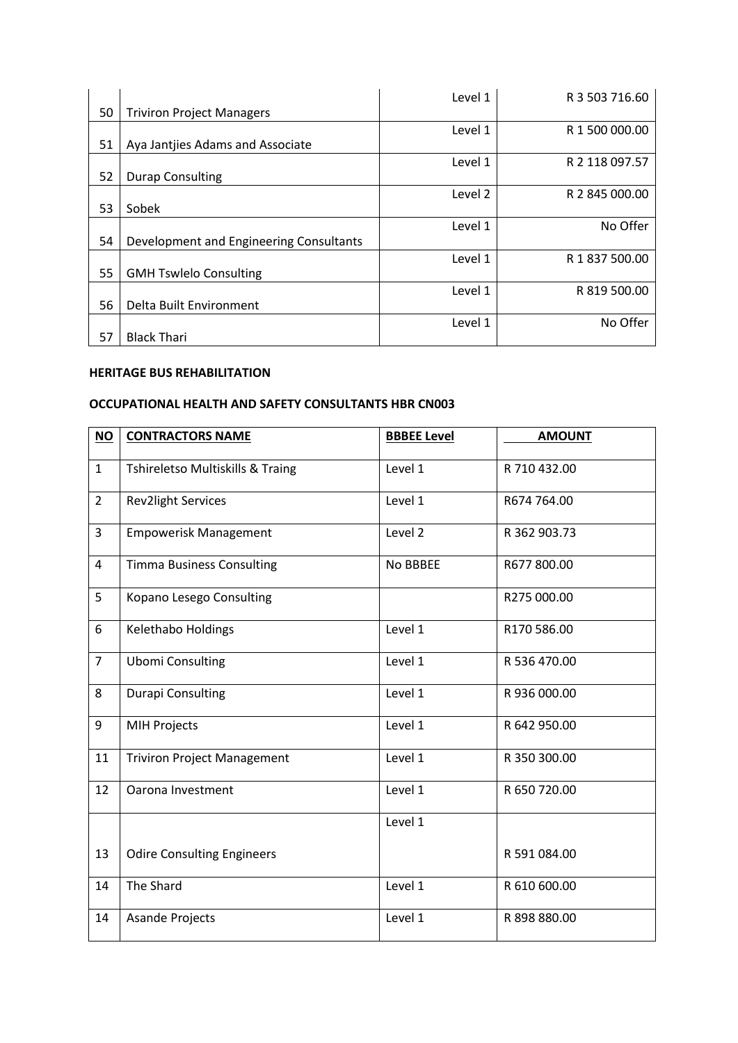|    |                                         | Level 1 | R 3 503 716.60 |
|----|-----------------------------------------|---------|----------------|
| 50 | <b>Triviron Project Managers</b>        |         |                |
|    |                                         | Level 1 | R 1 500 000.00 |
| 51 | Aya Jantjies Adams and Associate        |         |                |
|    |                                         | Level 1 | R 2 118 097.57 |
| 52 | <b>Durap Consulting</b>                 |         |                |
|    |                                         | Level 2 | R 2 845 000.00 |
| 53 | Sobek                                   |         |                |
|    |                                         | Level 1 | No Offer       |
| 54 | Development and Engineering Consultants |         |                |
|    |                                         | Level 1 | R 1 837 500.00 |
| 55 | <b>GMH Tswlelo Consulting</b>           |         |                |
|    |                                         | Level 1 | R 819 500.00   |
| 56 | Delta Built Environment                 |         |                |
|    |                                         | Level 1 | No Offer       |
| 57 | <b>Black Thari</b>                      |         |                |

### **HERITAGE BUS REHABILITATION**

# **OCCUPATIONAL HEALTH AND SAFETY CONSULTANTS HBR CN003**

| $NO$           | <b>CONTRACTORS NAME</b>            | <b>BBBEE Level</b> | <b>AMOUNT</b> |
|----------------|------------------------------------|--------------------|---------------|
| $\mathbf{1}$   | Tshireletso Multiskills & Traing   | Level 1            | R 710 432.00  |
| $\overline{2}$ | <b>Rev2light Services</b>          | Level 1            | R674 764.00   |
| 3              | <b>Empowerisk Management</b>       | Level 2            | R 362 903.73  |
| 4              | <b>Timma Business Consulting</b>   | No BBBEE           | R677800.00    |
| 5              | Kopano Lesego Consulting           |                    | R275 000.00   |
| 6              | Kelethabo Holdings                 | Level 1            | R170 586.00   |
| $\overline{7}$ | <b>Ubomi Consulting</b>            | Level 1            | R 536 470.00  |
| 8              | Durapi Consulting                  | Level 1            | R 936 000.00  |
| 9              | <b>MIH Projects</b>                | Level 1            | R 642 950.00  |
| 11             | <b>Triviron Project Management</b> | Level 1            | R 350 300.00  |
| 12             | Oarona Investment                  | Level 1            | R 650 720.00  |
|                |                                    | Level 1            |               |
| 13             | <b>Odire Consulting Engineers</b>  |                    | R 591 084.00  |
| 14             | The Shard                          | Level 1            | R 610 600.00  |
| 14             | <b>Asande Projects</b>             | Level 1            | R 898 880.00  |